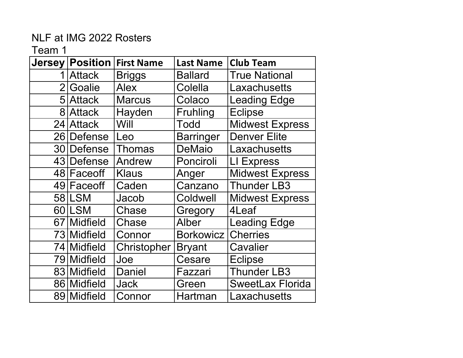|               | <b>Jersey Position</b> | <b>First Name</b> | <b>Last Name</b> | <b>Club Team</b>        |
|---------------|------------------------|-------------------|------------------|-------------------------|
| 1             | <b>Attack</b>          | <b>Briggs</b>     | <b>Ballard</b>   | <b>True National</b>    |
| $2\mathsf{l}$ | Goalie                 | <b>Alex</b>       | Colella          | Laxachusetts            |
|               | 5 Attack               | <b>Marcus</b>     | Colaco           | <b>Leading Edge</b>     |
|               | 8 Attack               | Hayden            | <b>Fruhling</b>  | <b>Eclipse</b>          |
| 24            | <b>Attack</b>          | Will              | <b>Todd</b>      | <b>Midwest Express</b>  |
| 26            | Defense                | Leo               | <b>Barringer</b> | <b>Denver Elite</b>     |
|               | 30 Defense             | <b>Thomas</b>     | <b>DeMaio</b>    | Laxachusetts            |
|               | 43 Defense             | Andrew            | Ponciroli        | LI Express              |
|               | 48 Faceoff             | <b>Klaus</b>      | Anger            | Midwest Express         |
|               | 49 Face off            | Caden             | Canzano          | <b>Thunder LB3</b>      |
|               | 58 LSM                 | Jacob             | Coldwell         | <b>Midwest Express</b>  |
|               | 60 LSM                 | Chase             | Gregory          | 4Leaf                   |
| 67 I          | Midfield               | Chase             | Alber            | <b>Leading Edge</b>     |
|               | 73 Midfield            | Connor            | <b>Borkowicz</b> | <b>Cherries</b>         |
|               | 74 Midfield            | Christopher       | <b>Bryant</b>    | Cavalier                |
|               | 79 Midfield            | Joe               | Cesare           | <b>Eclipse</b>          |
|               | 83 Midfield            | <b>Daniel</b>     | Fazzari          | <b>Thunder LB3</b>      |
|               | 86 Midfield            | <b>Jack</b>       | Green            | <b>SweetLax Florida</b> |
|               | 89 Midfield            | Connor            | Hartman          | Laxachusetts            |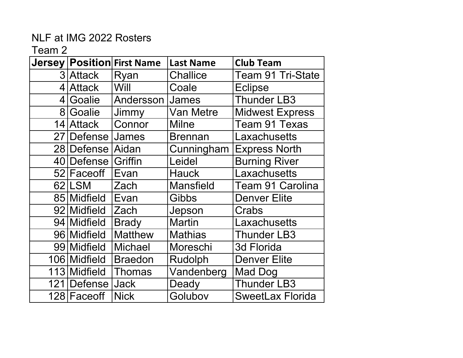|              | Jersey   Position  First Name | <b>Last Name</b> | <b>Club Team</b>         |
|--------------|-------------------------------|------------------|--------------------------|
| 3 Attack     | Ryan                          | <b>Challice</b>  | <b>Team 91 Tri-State</b> |
| 4 Attack     | Will                          | Coale            | <b>Eclipse</b>           |
| 4 Goalie     | Andersson                     | James            | <b>Thunder LB3</b>       |
| 8 Goalie     | Jimmy                         | Van Metre        | <b>Midwest Express</b>   |
| 14 Attack    | Connor                        | <b>Milne</b>     | Team 91 Texas            |
| 27   Defense | James                         | <b>Brennan</b>   | Laxachusetts             |
| 28 Defense   | Aidan                         | Cunningham       | <b>Express North</b>     |
| 40 Defense   | Griffin                       | Leidel           | <b>Burning River</b>     |
| 52 Faceoff   | Evan                          | <b>Hauck</b>     | Laxachusetts             |
| 62 LSM       | Zach                          | <b>Mansfield</b> | <b>Team 91 Carolina</b>  |
| 85 Midfield  | Evan                          | <b>Gibbs</b>     | <b>Denver Elite</b>      |
| 92 Midfield  | Zach                          | Jepson           | Crabs                    |
| 94 Midfield  | <b>Brady</b>                  | <b>Martin</b>    | Laxachusetts             |
| 96 Midfield  | <b>Matthew</b>                | <b>Mathias</b>   | <b>Thunder LB3</b>       |
| 99 Midfield  | <b>Michael</b>                | Moreschi         | 3d Florida               |
| 106 Midfield | <b>Braedon</b>                | Rudolph          | <b>Denver Elite</b>      |
| 113 Midfield | <b>Thomas</b>                 | Vandenberg       | <b>Mad Dog</b>           |
| 121 Defense  | <b>Jack</b>                   | Deady            | <b>Thunder LB3</b>       |
| 128 Faceoff  | <b>Nick</b>                   | Golubov          | <b>SweetLax Florida</b>  |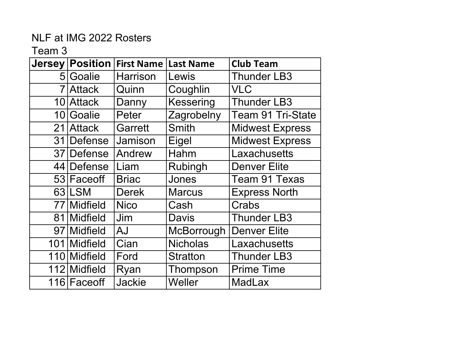|                | <b>Jersey Position</b> | <b>First Name</b> | <b>Last Name</b> | <b>Club Team</b>       |
|----------------|------------------------|-------------------|------------------|------------------------|
|                | 5 Goalie               | <b>Harrison</b>   | Lewis            | <b>Thunder LB3</b>     |
| $\overline{7}$ | Attack                 | Quinn             | Coughlin         | <b>VLC</b>             |
|                | 10 Attack              | Danny             | <b>Kessering</b> | <b>Thunder LB3</b>     |
|                | 10 Goalie              | Peter             | Zagrobelny       | Team 91 Tri-State      |
|                | 21 Attack              | <b>Garrett</b>    | <b>Smith</b>     | <b>Midwest Express</b> |
|                | 31 Defense             | Jamison           | Eigel            | <b>Midwest Express</b> |
|                | 37 Defense             | Andrew            | Hahm             | Laxachusetts           |
|                | 44 Defense             | Liam              | Rubingh          | <b>Denver Elite</b>    |
|                | 53 Face off            | <b>Briac</b>      | Jones            | <b>Team 91 Texas</b>   |
|                | 63 LSM                 | <b>Derek</b>      | <b>Marcus</b>    | <b>Express North</b>   |
|                | 77 Midfield            | <b>Nico</b>       | Cash             | Crabs                  |
|                | 81 Midfield            | Jim               | <b>Davis</b>     | <b>Thunder LB3</b>     |
|                | 97 Midfield            | <b>AJ</b>         | McBorrough       | <b>Denver Elite</b>    |
|                | 101 Midfield           | Cian              | <b>Nicholas</b>  | Laxachusetts           |
|                | 110 Midfield           | Ford              | <b>Stratton</b>  | <b>Thunder LB3</b>     |
|                | 112 Midfield           | Ryan              | Thompson         | <b>Prime Time</b>      |
|                | 116 Faceoff            | <b>Jackie</b>     | Weller           | <b>MadLax</b>          |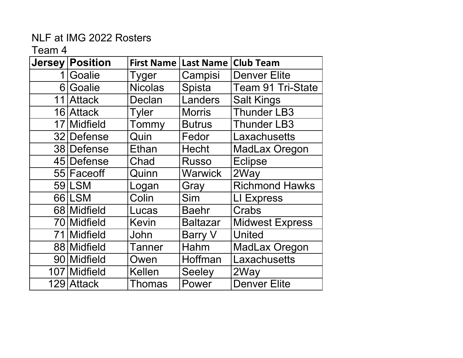| <b>Jersey</b>  | <b>Position</b> | <b>First Name</b> | <b>Last Name</b> | <b>Club Team</b>         |
|----------------|-----------------|-------------------|------------------|--------------------------|
| 1              | Goalie          | Tyger             | Campisi          | <b>Denver Elite</b>      |
| 6 <sup>1</sup> | Goalie          | <b>Nicolas</b>    | Spista           | <b>Team 91 Tri-State</b> |
|                | 11 Attack       | Declan            | Landers          | <b>Salt Kings</b>        |
|                | 16 Attack       | <b>Tyler</b>      | <b>Morris</b>    | <b>Thunder LB3</b>       |
|                | 17 Midfield     | Tommy             | <b>Butrus</b>    | <b>Thunder LB3</b>       |
|                | 32 Defense      | Quin              | Fedor            | Laxachusetts             |
|                | 38 Defense      | Ethan             | <b>Hecht</b>     | <b>MadLax Oregon</b>     |
|                | 45 Defense      | Chad              | <b>Russo</b>     | <b>Eclipse</b>           |
|                | 55 Face off     | Quinn             | Warwick          | 2Way                     |
|                | 59 LSM          | Logan             | Gray             | <b>Richmond Hawks</b>    |
|                | 66 LSM          | Colin             | Sim              | LI Express               |
|                | 68 Midfield     | Lucas             | Baehr            | Crabs                    |
|                | 70 Midfield     | Kevin             | <b>Baltazar</b>  | <b>Midwest Express</b>   |
| 711            | <b>Midfield</b> | John              | Barry V          | United                   |
|                | 88 Midfield     | Tanner            | Hahm             | <b>MadLax Oregon</b>     |
|                | 90 Midfield     | Owen              | Hoffman          | Laxachusetts             |
|                | 107 Midfield    | <b>Kellen</b>     | <b>Seeley</b>    | 2Way                     |
|                | 129 Attack      | <b>Thomas</b>     | Power            | <b>Denver Elite</b>      |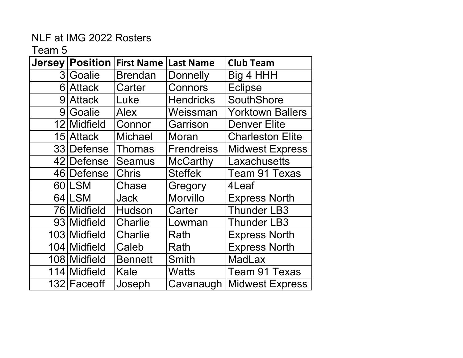| <b>Jersey</b> | <b>Position</b> | <b>First Name</b> | <b>Last Name</b> | <b>Club Team</b>        |
|---------------|-----------------|-------------------|------------------|-------------------------|
|               | 3 Goalie        | <b>Brendan</b>    | <b>Donnelly</b>  | Big 4 HHH               |
|               | 6 Attack        | Carter            | Connors          | <b>Eclipse</b>          |
|               | 9 Attack        | Luke              | <b>Hendricks</b> | <b>SouthShore</b>       |
|               | 9 Goalie        | <b>Alex</b>       | Weissman         | <b>Yorktown Ballers</b> |
|               | 12 Midfield     | Connor            | Garrison         | <b>Denver Elite</b>     |
|               | 15 Attack       | <b>Michael</b>    | Moran            | <b>Charleston Elite</b> |
|               | 33 Defense      | Thomas            | Frendreiss       | <b>Midwest Express</b>  |
|               | 42 Defense      | <b>Seamus</b>     | <b>McCarthy</b>  | Laxachusetts            |
|               | 46 Defense      | <b>Chris</b>      | <b>Steffek</b>   | Team 91 Texas           |
|               | 60 LSM          | Chase             | Gregory          | 4Leaf                   |
|               | 64 LSM          | Jack              | <b>Morvillo</b>  | <b>Express North</b>    |
|               | 76 Midfield     | Hudson            | Carter           | <b>Thunder LB3</b>      |
|               | 93 Midfield     | Charlie           | Lowman           | <b>Thunder LB3</b>      |
|               | 103 Midfield    | Charlie           | Rath             | <b>Express North</b>    |
|               | 104 Midfield    | Caleb             | Rath             | <b>Express North</b>    |
|               | 108 Midfield    | <b>Bennett</b>    | Smith            | <b>MadLax</b>           |
|               | 114 Midfield    | Kale              | Watts            | <b>Team 91 Texas</b>    |
|               | 132 Faceoff     | Joseph            | Cavanaugh        | <b>Midwest Express</b>  |